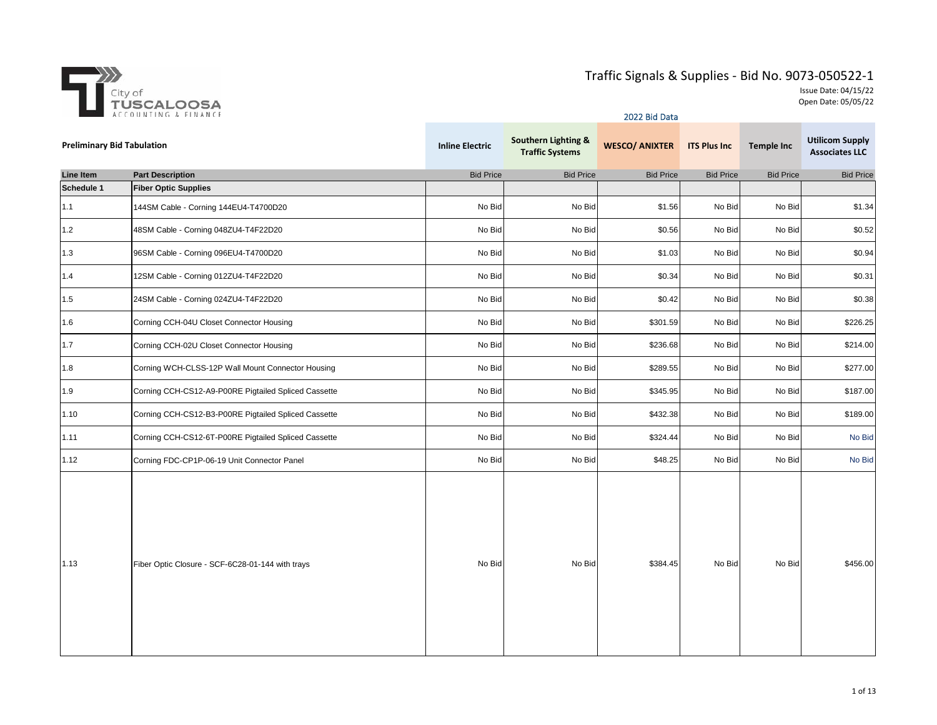

|                                   |                                                      | <b>2022 Bid Data</b>   |                                                          |                       |                     |                   |                                                 |  |  |
|-----------------------------------|------------------------------------------------------|------------------------|----------------------------------------------------------|-----------------------|---------------------|-------------------|-------------------------------------------------|--|--|
| <b>Preliminary Bid Tabulation</b> |                                                      | <b>Inline Electric</b> | <b>Southern Lighting &amp;</b><br><b>Traffic Systems</b> | <b>WESCO/ ANIXTER</b> | <b>ITS Plus Inc</b> | <b>Temple Inc</b> | <b>Utilicom Supply</b><br><b>Associates LLC</b> |  |  |
| Line Item                         | <b>Part Description</b>                              | <b>Bid Price</b>       | <b>Bid Price</b>                                         | <b>Bid Price</b>      | <b>Bid Price</b>    | <b>Bid Price</b>  | <b>Bid Price</b>                                |  |  |
| Schedule 1                        | <b>Fiber Optic Supplies</b>                          |                        |                                                          |                       |                     |                   |                                                 |  |  |
| 1.1                               | 144SM Cable - Corning 144EU4-T4700D20                | No Bid                 | No Bid                                                   | \$1.56                | No Bid              | No Bid            | \$1.34                                          |  |  |
| 1.2                               | 48SM Cable - Corning 048ZU4-T4F22D20                 | No Bid                 | No Bid                                                   | \$0.56                | No Bid              | No Bid            | \$0.52                                          |  |  |
| 1.3                               | 96SM Cable - Corning 096EU4-T4700D20                 | No Bid                 | No Bid                                                   | \$1.03                | No Bid              | No Bid            | \$0.94                                          |  |  |
| 1.4                               | 12SM Cable - Corning 012ZU4-T4F22D20                 | No Bid                 | No Bid                                                   | \$0.34                | No Bid              | No Bid            | \$0.31                                          |  |  |
| 1.5                               | 24SM Cable - Corning 024ZU4-T4F22D20                 | No Bid                 | No Bid                                                   | \$0.42                | No Bid              | No Bid            | \$0.38                                          |  |  |
| 1.6                               | Corning CCH-04U Closet Connector Housing             | No Bid                 | No Bid                                                   | \$301.59              | No Bid              | No Bid            | \$226.25                                        |  |  |
| 1.7                               | Corning CCH-02U Closet Connector Housing             | No Bid                 | No Bid                                                   | \$236.68              | No Bid              | No Bid            | \$214.00                                        |  |  |
| 1.8                               | Corning WCH-CLSS-12P Wall Mount Connector Housing    | No Bid                 | No Bid                                                   | \$289.55              | No Bid              | No Bid            | \$277.00                                        |  |  |
| 1.9                               | Corning CCH-CS12-A9-P00RE Pigtailed Spliced Cassette | No Bid                 | No Bid                                                   | \$345.95              | No Bid              | No Bid            | \$187.00                                        |  |  |
| 1.10                              | Corning CCH-CS12-B3-P00RE Pigtailed Spliced Cassette | No Bid                 | No Bid                                                   | \$432.38              | No Bid              | No Bid            | \$189.00                                        |  |  |
| 1.11                              | Corning CCH-CS12-6T-P00RE Pigtailed Spliced Cassette | No Bid                 | No Bid                                                   | \$324.44              | No Bid              | No Bid            | No Bid                                          |  |  |
| 1.12                              | Corning FDC-CP1P-06-19 Unit Connector Panel          | No Bid                 | No Bid                                                   | \$48.25               | No Bid              | No Bid            | No Bid                                          |  |  |
| 1.13                              | Fiber Optic Closure - SCF-6C28-01-144 with trays     | No Bid                 | No Bid                                                   | \$384.45              | No Bid              | No Bid            | \$456.00                                        |  |  |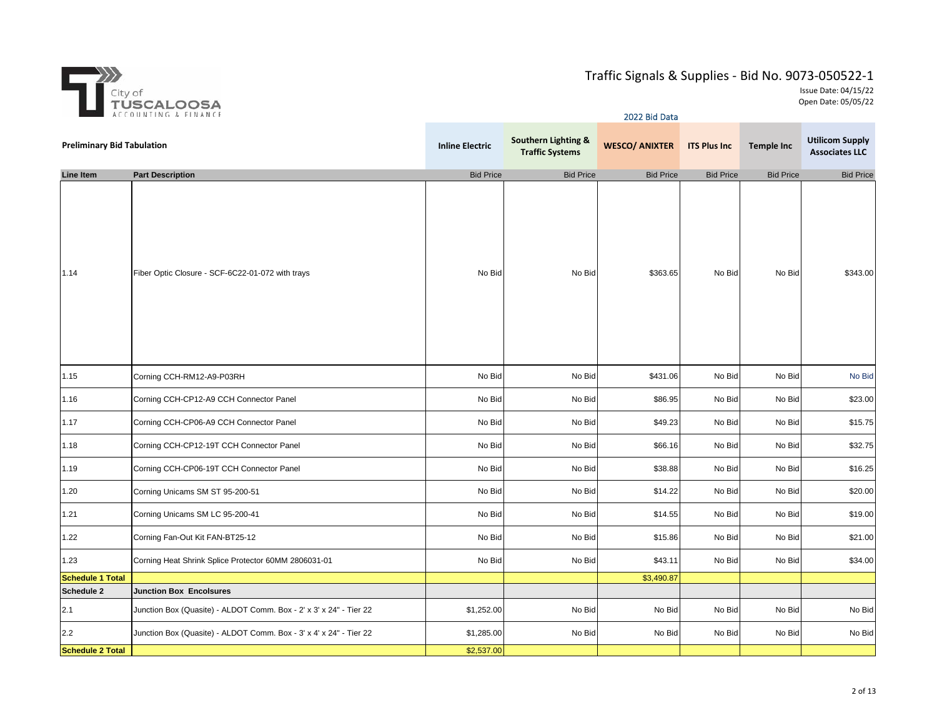

| A CCU UNITRO & FINANCE            |                                                                    | 2022 Bid Data          |                                                          |                       |                     |                   |                                                 |  |
|-----------------------------------|--------------------------------------------------------------------|------------------------|----------------------------------------------------------|-----------------------|---------------------|-------------------|-------------------------------------------------|--|
| <b>Preliminary Bid Tabulation</b> |                                                                    | <b>Inline Electric</b> | <b>Southern Lighting &amp;</b><br><b>Traffic Systems</b> | <b>WESCO/ ANIXTER</b> | <b>ITS Plus Inc</b> | <b>Temple Inc</b> | <b>Utilicom Supply</b><br><b>Associates LLC</b> |  |
| Line Item                         | <b>Part Description</b>                                            | <b>Bid Price</b>       | <b>Bid Price</b>                                         | <b>Bid Price</b>      | <b>Bid Price</b>    | <b>Bid Price</b>  | <b>Bid Price</b>                                |  |
| 1.14                              | Fiber Optic Closure - SCF-6C22-01-072 with trays                   | No Bid                 | No Bid                                                   | \$363.65              | No Bid              | No Bid            | \$343.00                                        |  |
| 1.15                              | Corning CCH-RM12-A9-P03RH                                          | No Bid                 | No Bid                                                   | \$431.06              | No Bid              | No Bid            | No Bid                                          |  |
| 1.16                              | Corning CCH-CP12-A9 CCH Connector Panel                            | No Bid                 | No Bid                                                   | \$86.95               | No Bid              | No Bid            | \$23.00                                         |  |
| 1.17                              | Corning CCH-CP06-A9 CCH Connector Panel                            | No Bid                 | No Bid                                                   | \$49.23               | No Bid              | No Bid            | \$15.75                                         |  |
| 1.18                              | Corning CCH-CP12-19T CCH Connector Panel                           | No Bid                 | No Bid                                                   | \$66.16               | No Bid              | No Bid            | \$32.75                                         |  |
| 1.19                              | Corning CCH-CP06-19T CCH Connector Panel                           | No Bid                 | No Bid                                                   | \$38.88               | No Bid              | No Bid            | \$16.25                                         |  |
| 1.20                              | Corning Unicams SM ST 95-200-51                                    | No Bid                 | No Bid                                                   | \$14.22               | No Bid              | No Bid            | \$20.00                                         |  |
| 1.21                              | Corning Unicams SM LC 95-200-41                                    | No Bid                 | No Bid                                                   | \$14.55               | No Bid              | No Bid            | \$19.00                                         |  |
| 1.22                              | Corning Fan-Out Kit FAN-BT25-12                                    | No Bid                 | No Bid                                                   | \$15.86               | No Bid              | No Bid            | \$21.00                                         |  |
| 1.23                              | Corning Heat Shrink Splice Protector 60MM 2806031-01               | No Bid                 | No Bid                                                   | \$43.11               | No Bid              | No Bid            | \$34.00                                         |  |
| <b>Schedule 1 Total</b>           |                                                                    |                        |                                                          | \$3,490.87            |                     |                   |                                                 |  |
| Schedule 2                        | <b>Junction Box Encolsures</b>                                     |                        |                                                          |                       |                     |                   |                                                 |  |
| 2.1                               | Junction Box (Quasite) - ALDOT Comm. Box - 2' x 3' x 24" - Tier 22 | \$1,252.00             | No Bid                                                   | No Bid                | No Bid              | No Bid            | No Bid                                          |  |
| 2.2                               | Junction Box (Quasite) - ALDOT Comm. Box - 3' x 4' x 24" - Tier 22 | \$1,285.00             | No Bid                                                   | No Bid                | No Bid              | No Bid            | No Bid                                          |  |
| <b>Schedule 2 Total</b>           |                                                                    | \$2,537.00             |                                                          |                       |                     |                   |                                                 |  |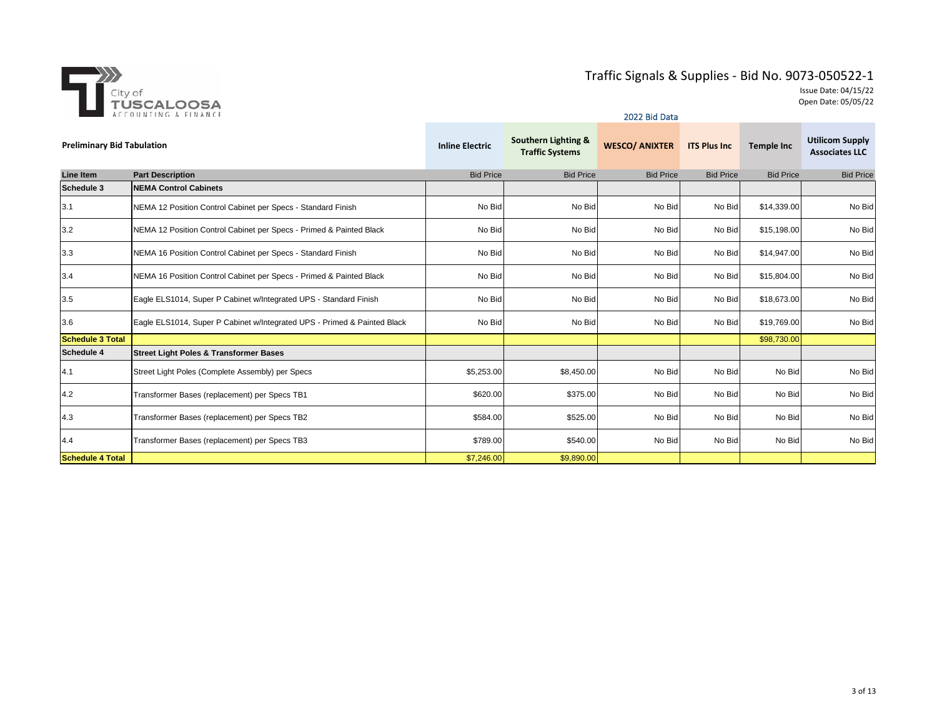

|                                   |                                                                          |                        |                                               | <b>2022 BIG Data</b>  |                      |                   |                                                 |
|-----------------------------------|--------------------------------------------------------------------------|------------------------|-----------------------------------------------|-----------------------|----------------------|-------------------|-------------------------------------------------|
| <b>Preliminary Bid Tabulation</b> |                                                                          | <b>Inline Electric</b> | Southern Lighting &<br><b>Traffic Systems</b> | <b>WESCO/ ANIXTER</b> | <b>ITS Plus Inc.</b> | <b>Temple Inc</b> | <b>Utilicom Supply</b><br><b>Associates LLC</b> |
| <b>Line Item</b>                  | <b>Part Description</b>                                                  | <b>Bid Price</b>       | <b>Bid Price</b>                              | <b>Bid Price</b>      | <b>Bid Price</b>     | <b>Bid Price</b>  | <b>Bid Price</b>                                |
| Schedule 3                        | <b>NEMA Control Cabinets</b>                                             |                        |                                               |                       |                      |                   |                                                 |
| 3.1                               | NEMA 12 Position Control Cabinet per Specs - Standard Finish             | No Bid                 | No Bid                                        | No Bid                | No Bid               | \$14,339.00       | No Bid                                          |
| 3.2                               | NEMA 12 Position Control Cabinet per Specs - Primed & Painted Black      | No Bid                 | No Bid                                        | No Bid                | No Bid               | \$15,198.00       | No Bid                                          |
| 3.3                               | NEMA 16 Position Control Cabinet per Specs - Standard Finish             | No Bid                 | No Bid                                        | No Bid                | No Bid               | \$14,947.00       | No Bid                                          |
| 3.4                               | NEMA 16 Position Control Cabinet per Specs - Primed & Painted Black      | No Bid                 | No Bid                                        | No Bid                | No Bid               | \$15,804.00       | No Bid                                          |
| 3.5                               | Eagle ELS1014, Super P Cabinet w/Integrated UPS - Standard Finish        | No Bid                 | No Bid                                        | No Bid                | No Bid               | \$18,673.00       | No Bid                                          |
| 3.6                               | Eagle ELS1014, Super P Cabinet w/Integrated UPS - Primed & Painted Black | No Bid                 | No Bid                                        | No Bid                | No Bid               | \$19,769.00       | No Bid                                          |
| <b>Schedule 3 Total</b>           |                                                                          |                        |                                               |                       |                      | \$98,730.00       |                                                 |
| <b>Schedule 4</b>                 | <b>Street Light Poles &amp; Transformer Bases</b>                        |                        |                                               |                       |                      |                   |                                                 |
| 4.1                               | Street Light Poles (Complete Assembly) per Specs                         | \$5,253.00             | \$8,450.00                                    | No Bid                | No Bid               | No Bid            | No Bid                                          |
| 4.2                               | Transformer Bases (replacement) per Specs TB1                            | \$620.00               | \$375.00                                      | No Bid                | No Bid               | No Bid            | No Bid                                          |
| 4.3                               | Transformer Bases (replacement) per Specs TB2                            | \$584.00               | \$525.00                                      | No Bid                | No Bid               | No Bid            | No Bid                                          |
| 4.4                               | Transformer Bases (replacement) per Specs TB3                            | \$789.00               | \$540.00                                      | No Bid                | No Bid               | No Bid            | No Bid                                          |
| <b>Schedule 4 Total</b>           |                                                                          | \$7,246.00             | \$9,890.00                                    |                       |                      |                   |                                                 |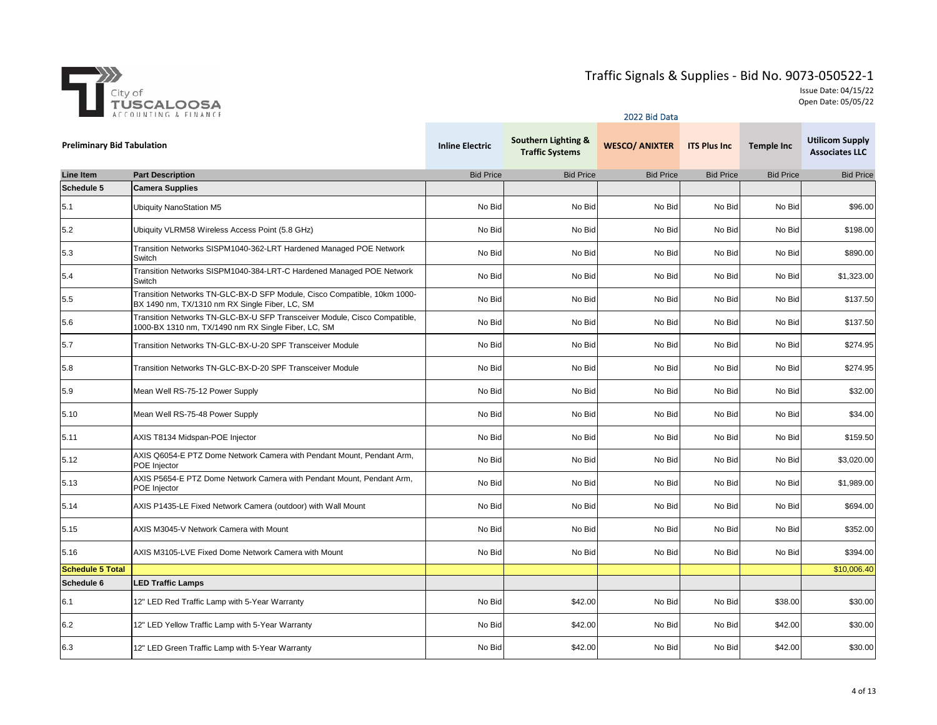

|                                   | ACCOUNTING & FINANCE                                                                                                             |                        | 2022 Bid Data                                 |                       |                     |                   |                                                 |
|-----------------------------------|----------------------------------------------------------------------------------------------------------------------------------|------------------------|-----------------------------------------------|-----------------------|---------------------|-------------------|-------------------------------------------------|
| <b>Preliminary Bid Tabulation</b> |                                                                                                                                  | <b>Inline Electric</b> | Southern Lighting &<br><b>Traffic Systems</b> | <b>WESCO/ ANIXTER</b> | <b>ITS Plus Inc</b> | <b>Temple Inc</b> | <b>Utilicom Supply</b><br><b>Associates LLC</b> |
| <b>Line Item</b>                  | <b>Part Description</b>                                                                                                          | <b>Bid Price</b>       | <b>Bid Price</b>                              | <b>Bid Price</b>      | <b>Bid Price</b>    | <b>Bid Price</b>  | <b>Bid Price</b>                                |
| Schedule 5                        | <b>Camera Supplies</b>                                                                                                           |                        |                                               |                       |                     |                   |                                                 |
| 5.1                               | <b>Ubiquity NanoStation M5</b>                                                                                                   | No Bid                 | No Bid                                        | No Bid                | No Bid              | No Bid            | \$96.00                                         |
| 5.2                               | Ubiquity VLRM58 Wireless Access Point (5.8 GHz)                                                                                  | No Bid                 | No Bid                                        | No Bid                | No Bid              | No Bid            | \$198.00                                        |
| 5.3                               | Transition Networks SISPM1040-362-LRT Hardened Managed POE Network<br>Switch                                                     | No Bid                 | No Bid                                        | No Bid                | No Bid              | No Bid            | \$890.00                                        |
| 5.4                               | Transition Networks SISPM1040-384-LRT-C Hardened Managed POE Network<br>Switch                                                   | No Bid                 | No Bid                                        | No Bid                | No Bid              | No Bid            | \$1,323.00                                      |
| 5.5                               | Transition Networks TN-GLC-BX-D SFP Module, Cisco Compatible, 10km 1000-<br>BX 1490 nm, TX/1310 nm RX Single Fiber, LC, SM       | No Bid                 | No Bid                                        | No Bid                | No Bid              | No Bid            | \$137.50                                        |
| 5.6                               | Transition Networks TN-GLC-BX-U SFP Transceiver Module, Cisco Compatible,<br>1000-BX 1310 nm, TX/1490 nm RX Single Fiber, LC, SM | No Bid                 | No Bid                                        | No Bid                | No Bid              | No Bid            | \$137.50                                        |
| 5.7                               | Transition Networks TN-GLC-BX-U-20 SPF Transceiver Module                                                                        | No Bid                 | No Bid                                        | No Bid                | No Bid              | No Bid            | \$274.95                                        |
| 5.8                               | Transition Networks TN-GLC-BX-D-20 SPF Transceiver Module                                                                        | No Bid                 | No Bid                                        | No Bid                | No Bid              | No Bid            | \$274.95                                        |
| 5.9                               | Mean Well RS-75-12 Power Supply                                                                                                  | No Bid                 | No Bid                                        | No Bid                | No Bid              | No Bid            | \$32.00                                         |
| 5.10                              | Mean Well RS-75-48 Power Supply                                                                                                  | No Bid                 | No Bid                                        | No Bid                | No Bid              | No Bid            | \$34.00                                         |
| 5.11                              | AXIS T8134 Midspan-POE Injector                                                                                                  | No Bid                 | No Bid                                        | No Bid                | No Bid              | No Bid            | \$159.50                                        |
| 5.12                              | AXIS Q6054-E PTZ Dome Network Camera with Pendant Mount, Pendant Arm,<br>POE Injector                                            | No Bid                 | No Bid                                        | No Bid                | No Bid              | No Bid            | \$3,020.00                                      |
| 5.13                              | AXIS P5654-E PTZ Dome Network Camera with Pendant Mount, Pendant Arm,<br>POE Injector                                            | No Bid                 | No Bid                                        | No Bid                | No Bid              | No Bid            | \$1,989.00                                      |
| 5.14                              | AXIS P1435-LE Fixed Network Camera (outdoor) with Wall Mount                                                                     | No Bid                 | No Bid                                        | No Bid                | No Bid              | No Bid            | \$694.00                                        |
| 5.15                              | AXIS M3045-V Network Camera with Mount                                                                                           | No Bid                 | No Bid                                        | No Bid                | No Bid              | No Bid            | \$352.00                                        |
| 5.16                              | AXIS M3105-LVE Fixed Dome Network Camera with Mount                                                                              | No Bid                 | No Bid                                        | No Bid                | No Bid              | No Bid            | \$394.00                                        |
| <b>Schedule 5 Total</b>           |                                                                                                                                  |                        |                                               |                       |                     |                   | \$10,006.40                                     |
| Schedule 6                        | <b>LED Traffic Lamps</b>                                                                                                         |                        |                                               |                       |                     |                   |                                                 |
| 6.1                               | 12" LED Red Traffic Lamp with 5-Year Warranty                                                                                    | No Bid                 | \$42.00                                       | No Bid                | No Bid              | \$38.00           | \$30.00                                         |
| 6.2                               | 12" LED Yellow Traffic Lamp with 5-Year Warranty                                                                                 | No Bid                 | \$42.00                                       | No Bid                | No Bid              | \$42.00           | \$30.00                                         |
| 6.3                               | 12" LED Green Traffic Lamp with 5-Year Warranty                                                                                  | No Bid                 | \$42.00                                       | No Bid                | No Bid              | \$42.00           | \$30.00                                         |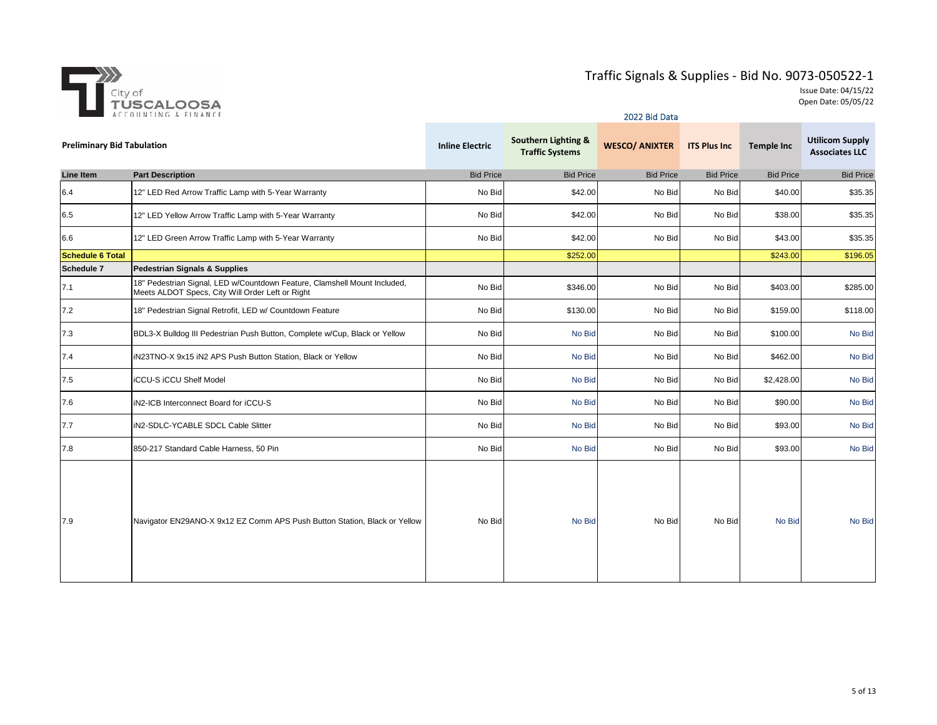

|                                   | ACCOUNTING & FINANCE                                                                                                          |                        | 2022 Bid Data                                            |                       |                     |                   |                                                 |  |
|-----------------------------------|-------------------------------------------------------------------------------------------------------------------------------|------------------------|----------------------------------------------------------|-----------------------|---------------------|-------------------|-------------------------------------------------|--|
| <b>Preliminary Bid Tabulation</b> |                                                                                                                               | <b>Inline Electric</b> | <b>Southern Lighting &amp;</b><br><b>Traffic Systems</b> | <b>WESCO/ ANIXTER</b> | <b>ITS Plus Inc</b> | <b>Temple Inc</b> | <b>Utilicom Supply</b><br><b>Associates LLC</b> |  |
| <b>Line Item</b>                  | <b>Part Description</b>                                                                                                       | <b>Bid Price</b>       | <b>Bid Price</b>                                         | <b>Bid Price</b>      | <b>Bid Price</b>    | <b>Bid Price</b>  | <b>Bid Price</b>                                |  |
| 6.4                               | 12" LED Red Arrow Traffic Lamp with 5-Year Warranty                                                                           | No Bid                 | \$42.00                                                  | No Bid                | No Bid              | \$40.00           | \$35.35                                         |  |
| 6.5                               | 12" LED Yellow Arrow Traffic Lamp with 5-Year Warranty                                                                        | No Bid                 | \$42.00                                                  | No Bid                | No Bid              | \$38.00           | \$35.35                                         |  |
| 6.6                               | 12" LED Green Arrow Traffic Lamp with 5-Year Warranty                                                                         | No Bid                 | \$42.00                                                  | No Bid                | No Bid              | \$43.00           | \$35.35                                         |  |
| <b>Schedule 6 Total</b>           |                                                                                                                               |                        | \$252.00                                                 |                       |                     | \$243.00          | \$196.05                                        |  |
| Schedule 7                        | Pedestrian Signals & Supplies                                                                                                 |                        |                                                          |                       |                     |                   |                                                 |  |
| 7.1                               | 18" Pedestrian Signal, LED w/Countdown Feature, Clamshell Mount Included,<br>Meets ALDOT Specs, City Will Order Left or Right | No Bid                 | \$346.00                                                 | No Bid                | No Bid              | \$403.00          | \$285.00                                        |  |
| 7.2                               | 18" Pedestrian Signal Retrofit, LED w/ Countdown Feature                                                                      | No Bid                 | \$130.00                                                 | No Bid                | No Bid              | \$159.00          | \$118.00                                        |  |
| 7.3                               | BDL3-X Bulldog III Pedestrian Push Button, Complete w/Cup, Black or Yellow                                                    | No Bid                 | No Bid                                                   | No Bid                | No Bid              | \$100.00          | No Bid                                          |  |
| 7.4                               | IN23TNO-X 9x15 IN2 APS Push Button Station, Black or Yellow                                                                   | No Bid                 | No Bid                                                   | No Bid                | No Bid              | \$462.00          | No Bid                                          |  |
| 7.5                               | <b>iCCU-S iCCU Shelf Model</b>                                                                                                | No Bid                 | No Bid                                                   | No Bid                | No Bid              | \$2,428.00        | No Bid                                          |  |
| 7.6                               | iN2-ICB Interconnect Board for iCCU-S                                                                                         | No Bid                 | No Bid                                                   | No Bid                | No Bid              | \$90.00           | No Bid                                          |  |
| 7.7                               | IN2-SDLC-YCABLE SDCL Cable Slitter                                                                                            | No Bid                 | No Bid                                                   | No Bid                | No Bid              | \$93.00           | No Bid                                          |  |
| 7.8                               | 850-217 Standard Cable Harness, 50 Pin                                                                                        | No Bid                 | No Bid                                                   | No Bid                | No Bid              | \$93.00           | No Bid                                          |  |
| 7.9                               | Navigator EN29ANO-X 9x12 EZ Comm APS Push Button Station, Black or Yellow                                                     | No Bid                 | No Bid                                                   | No Bid                | No Bid              | No Bid            | No Bid                                          |  |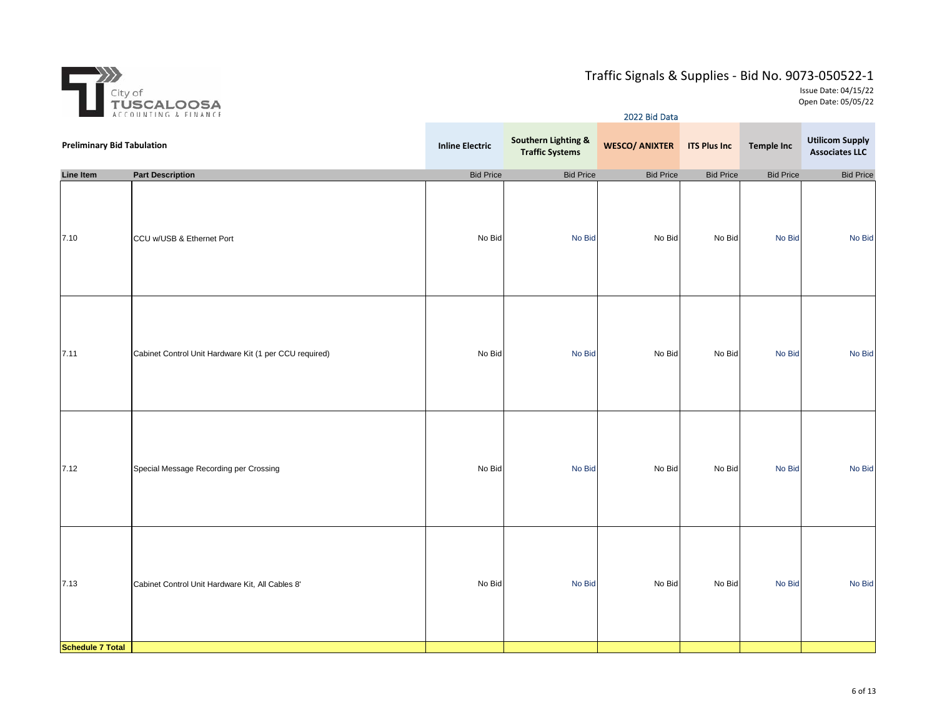

| $\frac{1}{2} \frac{1}{2} \frac{d\theta}{d\theta} = \frac{2\theta \theta}{2} \frac{d\theta}{d\theta}$ | ACCOUNTING & FINANCE                                   | 2022 Bid Data          |                                                          |                       |                     |                   |                                                 |  |
|------------------------------------------------------------------------------------------------------|--------------------------------------------------------|------------------------|----------------------------------------------------------|-----------------------|---------------------|-------------------|-------------------------------------------------|--|
| <b>Preliminary Bid Tabulation</b>                                                                    |                                                        | <b>Inline Electric</b> | <b>Southern Lighting &amp;</b><br><b>Traffic Systems</b> | <b>WESCO/ ANIXTER</b> | <b>ITS Plus Inc</b> | <b>Temple Inc</b> | <b>Utilicom Supply</b><br><b>Associates LLC</b> |  |
| <b>Line Item</b>                                                                                     | <b>Part Description</b>                                | <b>Bid Price</b>       | <b>Bid Price</b>                                         | <b>Bid Price</b>      | <b>Bid Price</b>    | <b>Bid Price</b>  | <b>Bid Price</b>                                |  |
| 7.10                                                                                                 | CCU w/USB & Ethernet Port                              | No Bid                 | No Bid                                                   | No Bid                | No Bid              | No Bid            | No Bid                                          |  |
| 7.11                                                                                                 | Cabinet Control Unit Hardware Kit (1 per CCU required) | No Bid                 | No Bid                                                   | No Bid                | No Bid              | No Bid            | No Bid                                          |  |
| 7.12                                                                                                 | Special Message Recording per Crossing                 | No Bid                 | No Bid                                                   | No Bid                | No Bid              | No Bid            | No Bid                                          |  |
| 7.13                                                                                                 | Cabinet Control Unit Hardware Kit, All Cables 8'       | No Bid                 | No Bid                                                   | No Bid                | No Bid              | No Bid            | No Bid                                          |  |
| <b>Schedule 7 Total</b>                                                                              |                                                        |                        |                                                          |                       |                     |                   |                                                 |  |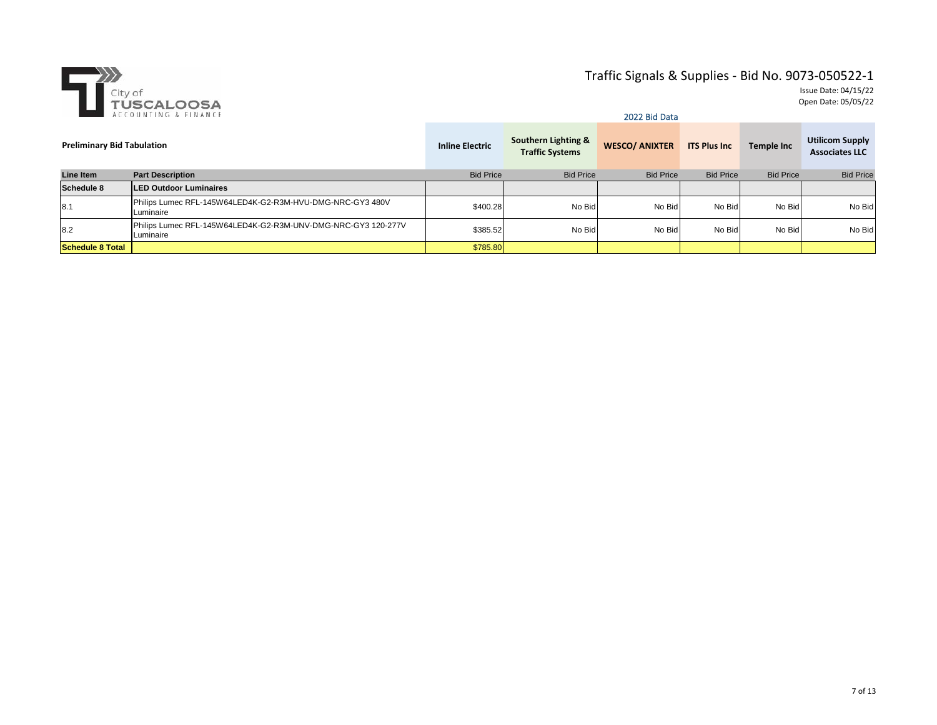

|                                   | ACCOUNTING & FINANCE                                                       | 2022 Bid Data          |                                               |                       |                     |                   |                                                 |  |  |
|-----------------------------------|----------------------------------------------------------------------------|------------------------|-----------------------------------------------|-----------------------|---------------------|-------------------|-------------------------------------------------|--|--|
| <b>Preliminary Bid Tabulation</b> |                                                                            | <b>Inline Electric</b> | Southern Lighting &<br><b>Traffic Systems</b> | <b>WESCO/ ANIXTER</b> | <b>ITS Plus Inc</b> | <b>Temple Inc</b> | <b>Utilicom Supply</b><br><b>Associates LLC</b> |  |  |
| Line Item                         | <b>Part Description</b>                                                    | <b>Bid Price</b>       | <b>Bid Price</b>                              | <b>Bid Price</b>      | <b>Bid Price</b>    | <b>Bid Price</b>  | <b>Bid Price</b>                                |  |  |
| Schedule 8                        | <b>ILED Outdoor Luminaires</b>                                             |                        |                                               |                       |                     |                   |                                                 |  |  |
| 8.1                               | Philips Lumec RFL-145W64LED4K-G2-R3M-HVU-DMG-NRC-GY3 480V<br>Luminaire     | \$400.28               | No Bid                                        | No Bid                | No Bid              | No Bid            | No Bid                                          |  |  |
| 8.2                               | Philips Lumec RFL-145W64LED4K-G2-R3M-UNV-DMG-NRC-GY3 120-277V<br>Luminaire | \$385.52               | No Bid                                        | No Bid                | No Bid              | No Bid            | No Bid                                          |  |  |
| <b>Schedule 8 Total</b>           |                                                                            | \$785.80               |                                               |                       |                     |                   |                                                 |  |  |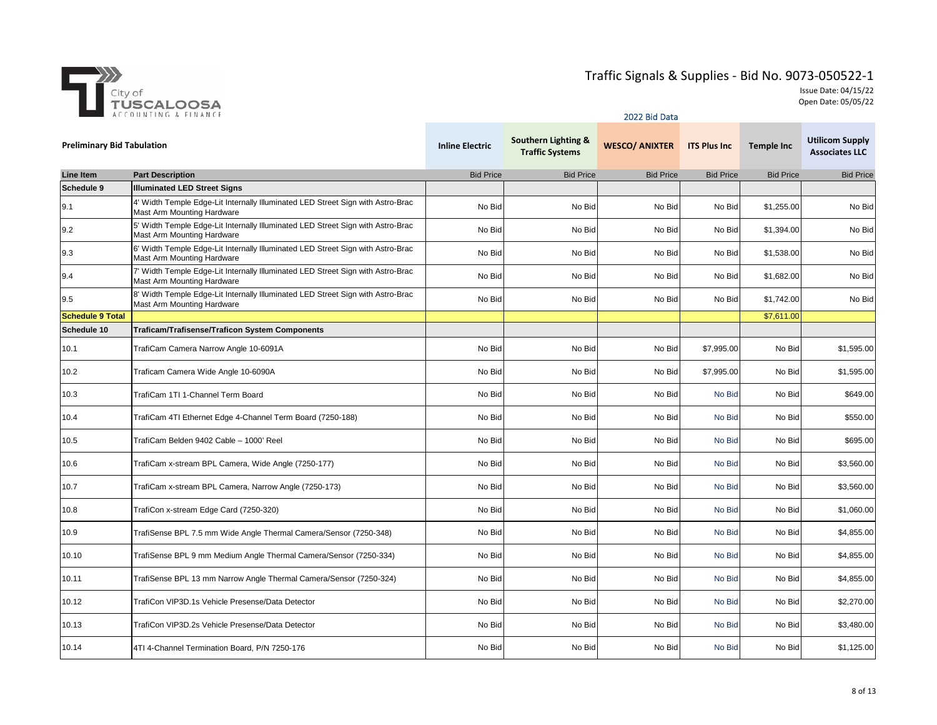

|                                   | ACCOUNTING & FINANCE                                                                                          | 2022 Bid Data          |                                               |                       |                     |                   |                                                 |  |  |
|-----------------------------------|---------------------------------------------------------------------------------------------------------------|------------------------|-----------------------------------------------|-----------------------|---------------------|-------------------|-------------------------------------------------|--|--|
| <b>Preliminary Bid Tabulation</b> |                                                                                                               | <b>Inline Electric</b> | Southern Lighting &<br><b>Traffic Systems</b> | <b>WESCO/ ANIXTER</b> | <b>ITS Plus Inc</b> | <b>Temple Inc</b> | <b>Utilicom Supply</b><br><b>Associates LLC</b> |  |  |
| <b>Line Item</b>                  | <b>Part Description</b>                                                                                       | <b>Bid Price</b>       | <b>Bid Price</b>                              | <b>Bid Price</b>      | <b>Bid Price</b>    | <b>Bid Price</b>  | <b>Bid Price</b>                                |  |  |
| Schedule 9                        | <b>Illuminated LED Street Signs</b>                                                                           |                        |                                               |                       |                     |                   |                                                 |  |  |
| 9.1                               | 4' Width Temple Edge-Lit Internally Illuminated LED Street Sign with Astro-Brac<br>Mast Arm Mounting Hardware | No Bid                 | No Bid                                        | No Bid                | No Bid              | \$1,255.00        | No Bid                                          |  |  |
| 9.2                               | 5' Width Temple Edge-Lit Internally Illuminated LED Street Sign with Astro-Brac<br>Mast Arm Mounting Hardware | No Bid                 | No Bid                                        | No Bid                | No Bid              | \$1.394.00        | No Bid                                          |  |  |
| 9.3                               | 6' Width Temple Edge-Lit Internally Illuminated LED Street Sign with Astro-Brac<br>Mast Arm Mounting Hardware | No Bid                 | No Bid                                        | No Bid                | No Bid              | \$1,538.00        | No Bid                                          |  |  |
| 9.4                               | 7' Width Temple Edge-Lit Internally Illuminated LED Street Sign with Astro-Brac<br>Mast Arm Mounting Hardware | No Bid                 | No Bid                                        | No Bid                | No Bid              | \$1,682.00        | No Bid                                          |  |  |
| 9.5                               | 8' Width Temple Edge-Lit Internally Illuminated LED Street Sign with Astro-Brac<br>Mast Arm Mounting Hardware | No Bid                 | No Bid                                        | No Bid                | No Bid              | \$1,742.00        | No Bid                                          |  |  |
| <b>Schedule 9 Total</b>           |                                                                                                               |                        |                                               |                       |                     | \$7,611.00        |                                                 |  |  |
| Schedule 10                       | <b>Traficam/Trafisense/Traficon System Components</b>                                                         |                        |                                               |                       |                     |                   |                                                 |  |  |
| 10.1                              | TrafiCam Camera Narrow Angle 10-6091A                                                                         | No Bid                 | No Bid                                        | No Bid                | \$7,995.00          | No Bid            | \$1,595.00                                      |  |  |
| 10.2                              | Traficam Camera Wide Angle 10-6090A                                                                           | No Bid                 | No Bid                                        | No Bid                | \$7,995.00          | No Bid            | \$1,595.00                                      |  |  |
| 10.3                              | TrafiCam 1TI 1-Channel Term Board                                                                             | No Bid                 | No Bid                                        | No Bid                | No Bid              | No Bid            | \$649.00                                        |  |  |
| 10.4                              | TrafiCam 4TI Ethernet Edge 4-Channel Term Board (7250-188)                                                    | No Bid                 | No Bid                                        | No Bid                | No Bid              | No Bid            | \$550.00                                        |  |  |
| 10.5                              | TrafiCam Belden 9402 Cable - 1000' Reel                                                                       | No Bid                 | No Bid                                        | No Bid                | No Bid              | No Bid            | \$695.00                                        |  |  |
| 10.6                              | TrafiCam x-stream BPL Camera, Wide Angle (7250-177)                                                           | No Bid                 | No Bid                                        | No Bid                | No Bid              | No Bid            | \$3,560.00                                      |  |  |
| 10.7                              | TrafiCam x-stream BPL Camera, Narrow Angle (7250-173)                                                         | No Bid                 | No Bid                                        | No Bid                | No Bid              | No Bid            | \$3,560.00                                      |  |  |
| 10.8                              | TrafiCon x-stream Edge Card (7250-320)                                                                        | No Bid                 | No Bid                                        | No Bid                | No Bid              | No Bid            | \$1,060.00                                      |  |  |
| 10.9                              | TrafiSense BPL 7.5 mm Wide Angle Thermal Camera/Sensor (7250-348)                                             | No Bid                 | No Bid                                        | No Bid                | No Bid              | No Bid            | \$4,855.00                                      |  |  |
| 10.10                             | TrafiSense BPL 9 mm Medium Angle Thermal Camera/Sensor (7250-334)                                             | No Bid                 | No Bid                                        | No Bid                | No Bid              | No Bid            | \$4,855.00                                      |  |  |
| 10.11                             | TrafiSense BPL 13 mm Narrow Angle Thermal Camera/Sensor (7250-324)                                            | No Bid                 | No Bid                                        | No Bid                | No Bid              | No Bid            | \$4,855.00                                      |  |  |
| 10.12                             | TrafiCon VIP3D.1s Vehicle Presense/Data Detector                                                              | No Bid                 | No Bid                                        | No Bid                | No Bid              | No Bid            | \$2,270.00                                      |  |  |
| 10.13                             | TrafiCon VIP3D.2s Vehicle Presense/Data Detector                                                              | No Bid                 | No Bid                                        | No Bid                | No Bid              | No Bid            | \$3,480.00                                      |  |  |
| 10.14                             | 4TI 4-Channel Termination Board, P/N 7250-176                                                                 | No Bid                 | No Bid                                        | No Bid                | No Bid              | No Bid            | \$1,125.00                                      |  |  |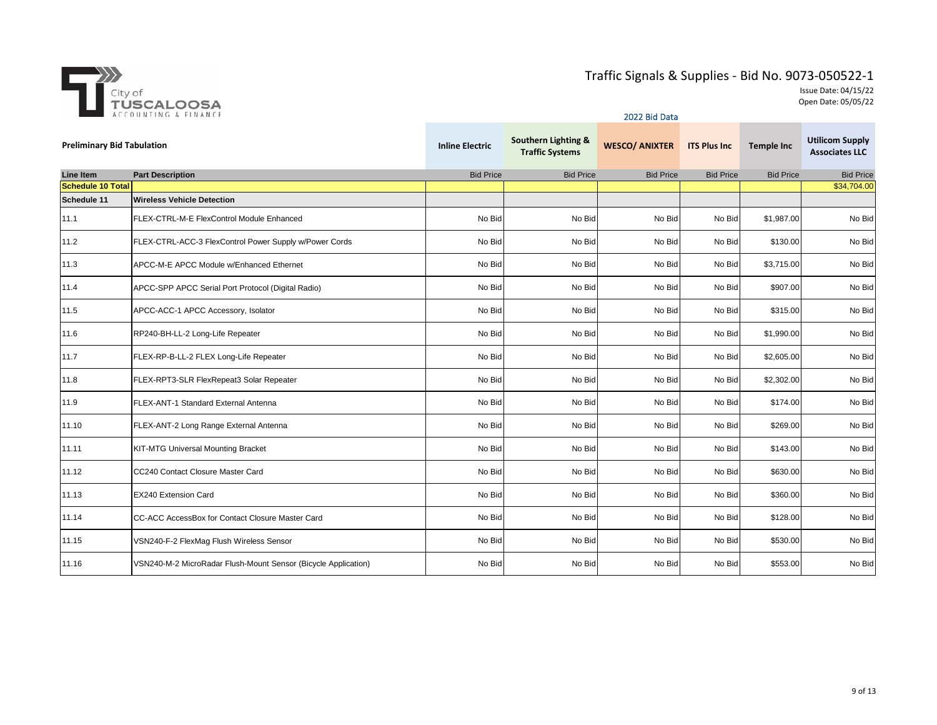

|                                   |                                                                |                        |                                               | 2022 Bid Data         |                     |                   |                                                 |
|-----------------------------------|----------------------------------------------------------------|------------------------|-----------------------------------------------|-----------------------|---------------------|-------------------|-------------------------------------------------|
| <b>Preliminary Bid Tabulation</b> |                                                                | <b>Inline Electric</b> | Southern Lighting &<br><b>Traffic Systems</b> | <b>WESCO/ ANIXTER</b> | <b>ITS Plus Inc</b> | <b>Temple Inc</b> | <b>Utilicom Supply</b><br><b>Associates LLC</b> |
| <b>Line Item</b>                  | <b>Part Description</b>                                        | <b>Bid Price</b>       | <b>Bid Price</b>                              | <b>Bid Price</b>      | <b>Bid Price</b>    | <b>Bid Price</b>  | <b>Bid Price</b>                                |
| <b>Schedule 10 Total</b>          |                                                                |                        |                                               |                       |                     |                   | \$34,704.00                                     |
| Schedule 11                       | <b>Wireless Vehicle Detection</b>                              |                        |                                               |                       |                     |                   |                                                 |
| 11.1                              | FLEX-CTRL-M-E FlexControl Module Enhanced                      | No Bid                 | No Bid                                        | No Bid                | No Bid              | \$1,987.00        | No Bid                                          |
| 11.2                              | FLEX-CTRL-ACC-3 FlexControl Power Supply w/Power Cords         | No Bid                 | No Bid                                        | No Bid                | No Bid              | \$130.00          | No Bid                                          |
| 11.3                              | APCC-M-E APCC Module w/Enhanced Ethernet                       | No Bid                 | No Bid                                        | No Bid                | No Bid              | \$3,715.00        | No Bid                                          |
| 11.4                              | APCC-SPP APCC Serial Port Protocol (Digital Radio)             | No Bid                 | No Bid                                        | No Bid                | No Bid              | \$907.00          | No Bid                                          |
| 11.5                              | APCC-ACC-1 APCC Accessory, Isolator                            | No Bid                 | No Bid                                        | No Bid                | No Bid              | \$315.00          | No Bid                                          |
| 11.6                              | RP240-BH-LL-2 Long-Life Repeater                               | No Bid                 | No Bid                                        | No Bid                | No Bid              | \$1,990.00        | No Bid                                          |
| 11.7                              | FLEX-RP-B-LL-2 FLEX Long-Life Repeater                         | No Bid                 | No Bid                                        | No Bid                | No Bid              | \$2,605.00        | No Bid                                          |
| 11.8                              | FLEX-RPT3-SLR FlexRepeat3 Solar Repeater                       | No Bid                 | No Bid                                        | No Bid                | No Bid              | \$2,302.00        | No Bid                                          |
| 11.9                              | FLEX-ANT-1 Standard External Antenna                           | No Bid                 | No Bid                                        | No Bid                | No Bid              | \$174.00          | No Bid                                          |
| 11.10                             | FLEX-ANT-2 Long Range External Antenna                         | No Bid                 | No Bid                                        | No Bid                | No Bid              | \$269.00          | No Bid                                          |
| 11.11                             | <b>KIT-MTG Universal Mounting Bracket</b>                      | No Bid                 | No Bid                                        | No Bid                | No Bid              | \$143.00          | No Bid                                          |
| 11.12                             | CC240 Contact Closure Master Card                              | No Bid                 | No Bid                                        | No Bid                | No Bid              | \$630.00          | No Bid                                          |
| 11.13                             | EX240 Extension Card                                           | No Bid                 | No Bid                                        | No Bid                | No Bid              | \$360.00          | No Bid                                          |
| 11.14                             | CC-ACC AccessBox for Contact Closure Master Card               | No Bid                 | No Bid                                        | No Bid                | No Bid              | \$128.00          | No Bid                                          |
| 11.15                             | VSN240-F-2 FlexMag Flush Wireless Sensor                       | No Bid                 | No Bid                                        | No Bid                | No Bid              | \$530.00          | No Bid                                          |
| 11.16                             | VSN240-M-2 MicroRadar Flush-Mount Sensor (Bicycle Application) | No Bid                 | No Bid                                        | No Bid                | No Bid              | \$553.00          | No Bid                                          |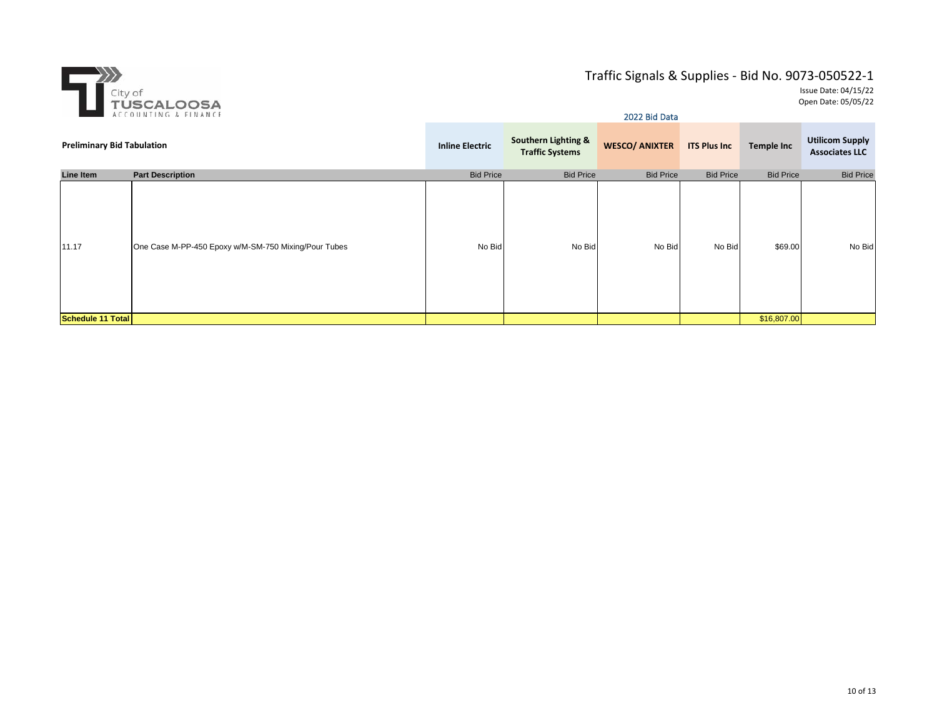

|                                   | ACCOUNTING & FINANCE                                 | 2022 Bid Data          |                                                          |                       |                     |                   |                                                 |  |
|-----------------------------------|------------------------------------------------------|------------------------|----------------------------------------------------------|-----------------------|---------------------|-------------------|-------------------------------------------------|--|
| <b>Preliminary Bid Tabulation</b> |                                                      | <b>Inline Electric</b> | <b>Southern Lighting &amp;</b><br><b>Traffic Systems</b> | <b>WESCO/ ANIXTER</b> | <b>ITS Plus Inc</b> | <b>Temple Inc</b> | <b>Utilicom Supply</b><br><b>Associates LLC</b> |  |
| Line Item                         | <b>Part Description</b>                              | <b>Bid Price</b>       | <b>Bid Price</b>                                         | <b>Bid Price</b>      | <b>Bid Price</b>    | <b>Bid Price</b>  | <b>Bid Price</b>                                |  |
| 11.17                             | One Case M-PP-450 Epoxy w/M-SM-750 Mixing/Pour Tubes | No Bid                 | No Bid                                                   | No Bid                | No Bid              | \$69.00           | No Bid                                          |  |
| Schedule 11 Total                 |                                                      |                        |                                                          |                       |                     | \$16,807.00       |                                                 |  |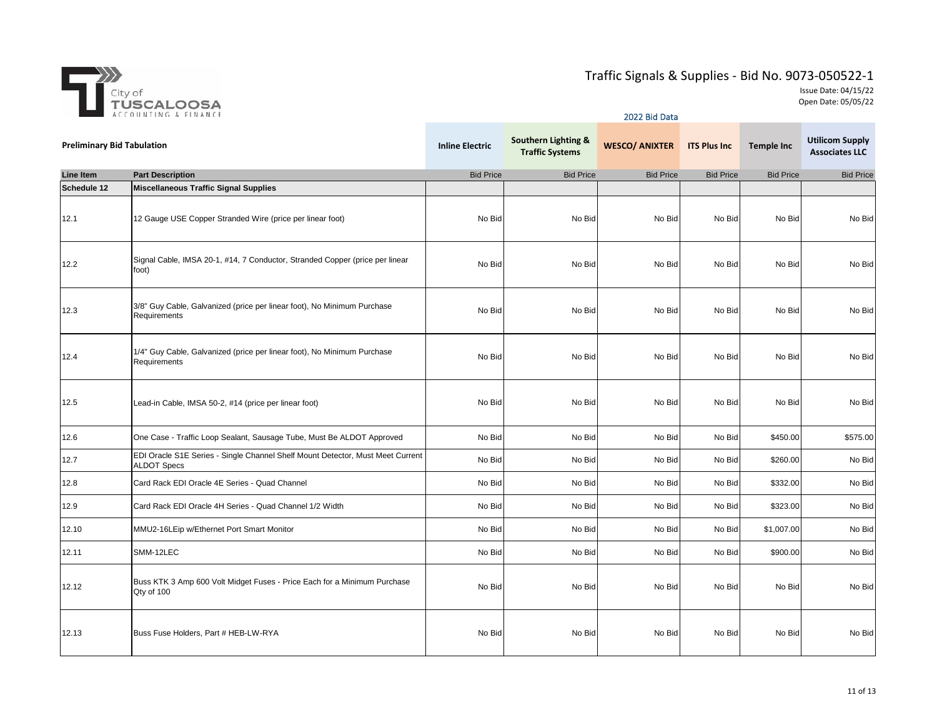

|                                   | ACCOUNTING & FINANCE                                                                                 | 2022 Bid Data          |                                               |                       |                     |                   |                                                 |  |
|-----------------------------------|------------------------------------------------------------------------------------------------------|------------------------|-----------------------------------------------|-----------------------|---------------------|-------------------|-------------------------------------------------|--|
| <b>Preliminary Bid Tabulation</b> |                                                                                                      | <b>Inline Electric</b> | Southern Lighting &<br><b>Traffic Systems</b> | <b>WESCO/ ANIXTER</b> | <b>ITS Plus Inc</b> | <b>Temple Inc</b> | <b>Utilicom Supply</b><br><b>Associates LLC</b> |  |
| Line Item                         | <b>Part Description</b>                                                                              | <b>Bid Price</b>       | <b>Bid Price</b>                              | <b>Bid Price</b>      | <b>Bid Price</b>    | <b>Bid Price</b>  | <b>Bid Price</b>                                |  |
| Schedule 12                       | <b>Miscellaneous Traffic Signal Supplies</b>                                                         |                        |                                               |                       |                     |                   |                                                 |  |
| 12.1                              | 12 Gauge USE Copper Stranded Wire (price per linear foot)                                            | No Bid                 | No Bid                                        | No Bid                | No Bid              | No Bid            | No Bid                                          |  |
| 12.2                              | Signal Cable, IMSA 20-1, #14, 7 Conductor, Stranded Copper (price per linear<br>foot)                | No Bid                 | No Bid                                        | No Bid                | No Bid              | No Bid            | No Bid                                          |  |
| 12.3                              | 3/8" Guy Cable, Galvanized (price per linear foot), No Minimum Purchase<br>Requirements              | No Bid                 | No Bid                                        | No Bid                | No Bid              | No Bid            | No Bid                                          |  |
| 12.4                              | 1/4" Guy Cable, Galvanized (price per linear foot), No Minimum Purchase<br>Requirements              | No Bid                 | No Bid                                        | No Bid                | No Bid              | No Bid            | No Bid                                          |  |
| 12.5                              | Lead-in Cable, IMSA 50-2, #14 (price per linear foot)                                                | No Bid                 | No Bid                                        | No Bid                | No Bid              | No Bid            | No Bid                                          |  |
| 12.6                              | One Case - Traffic Loop Sealant, Sausage Tube, Must Be ALDOT Approved                                | No Bid                 | No Bid                                        | No Bid                | No Bid              | \$450.00          | \$575.00                                        |  |
| 12.7                              | EDI Oracle S1E Series - Single Channel Shelf Mount Detector, Must Meet Current<br><b>ALDOT Specs</b> | No Bid                 | No Bid                                        | No Bid                | No Bid              | \$260.00          | No Bid                                          |  |
| 12.8                              | Card Rack EDI Oracle 4E Series - Quad Channel                                                        | No Bid                 | No Bid                                        | No Bid                | No Bid              | \$332.00          | No Bid                                          |  |
| 12.9                              | Card Rack EDI Oracle 4H Series - Quad Channel 1/2 Width                                              | No Bid                 | No Bid                                        | No Bid                | No Bid              | \$323.00          | No Bid                                          |  |
| 12.10                             | MMU2-16LEip w/Ethernet Port Smart Monitor                                                            | No Bid                 | No Bid                                        | No Bid                | No Bid              | \$1,007.00        | No Bid                                          |  |
| 12.11                             | SMM-12LEC                                                                                            | No Bid                 | No Bid                                        | No Bid                | No Bid              | \$900.00          | No Bid                                          |  |
| 12.12                             | Buss KTK 3 Amp 600 Volt Midget Fuses - Price Each for a Minimum Purchase<br>Qty of 100               | No Bid                 | No Bid                                        | No Bid                | No Bid              | No Bid            | No Bid                                          |  |
| 12.13                             | Buss Fuse Holders, Part # HEB-LW-RYA                                                                 | No Bid                 | No Bid                                        | No Bid                | No Bid              | No Bid            | No Bid                                          |  |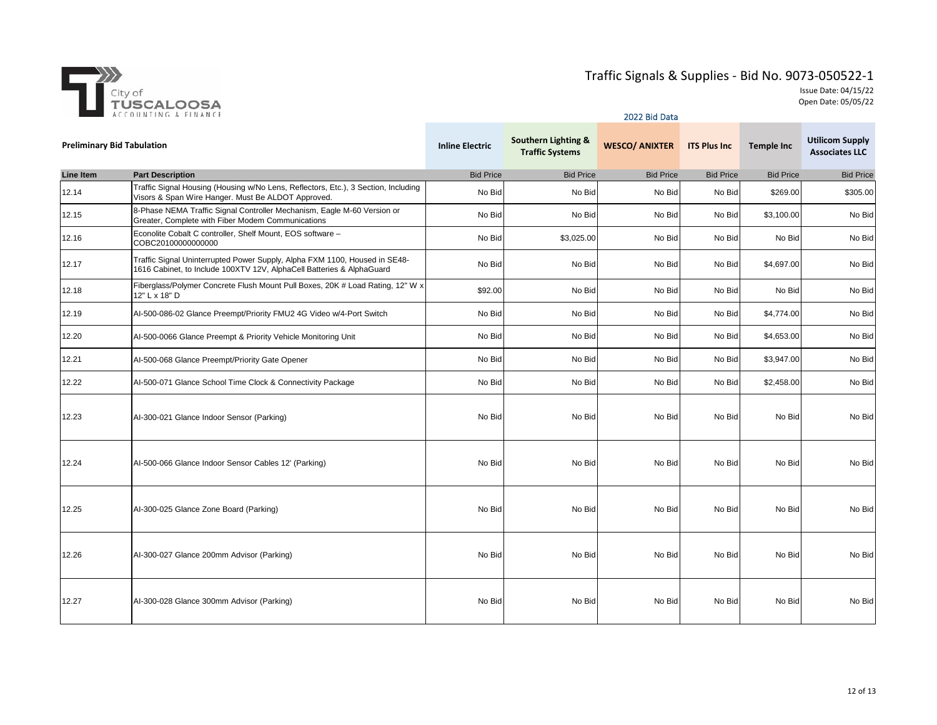

|                                   | ACCOUNTING & FINANCE                                                                                                                                | 2022 Bid Data          |                                                          |                       |                     |                   |                                                 |  |  |
|-----------------------------------|-----------------------------------------------------------------------------------------------------------------------------------------------------|------------------------|----------------------------------------------------------|-----------------------|---------------------|-------------------|-------------------------------------------------|--|--|
| <b>Preliminary Bid Tabulation</b> |                                                                                                                                                     | <b>Inline Electric</b> | <b>Southern Lighting &amp;</b><br><b>Traffic Systems</b> | <b>WESCO/ ANIXTER</b> | <b>ITS Plus Inc</b> | <b>Temple Inc</b> | <b>Utilicom Supply</b><br><b>Associates LLC</b> |  |  |
| <b>Line Item</b>                  | <b>Part Description</b>                                                                                                                             | <b>Bid Price</b>       | <b>Bid Price</b>                                         | <b>Bid Price</b>      | <b>Bid Price</b>    | <b>Bid Price</b>  | <b>Bid Price</b>                                |  |  |
| 12.14                             | Traffic Signal Housing (Housing w/No Lens, Reflectors, Etc.), 3 Section, Including<br>Visors & Span Wire Hanger. Must Be ALDOT Approved.            | No Bid                 | No Bid                                                   | No Bid                | No Bid              | \$269.00          | \$305.00                                        |  |  |
| 12.15                             | 8-Phase NEMA Traffic Signal Controller Mechanism, Eagle M-60 Version or<br>Greater, Complete with Fiber Modem Communications                        | No Bid                 | No Bid                                                   | No Bid                | No Bid              | \$3,100.00        | No Bid                                          |  |  |
| 12.16                             | Econolite Cobalt C controller, Shelf Mount, EOS software -<br>COBC20100000000000                                                                    | No Bid                 | \$3,025.00                                               | No Bid                | No Bid              | No Bid            | No Bid                                          |  |  |
| 12.17                             | Traffic Signal Uninterrupted Power Supply, Alpha FXM 1100, Housed in SE48-<br>1616 Cabinet, to Include 100XTV 12V, AlphaCell Batteries & AlphaGuard | No Bid                 | No Bid                                                   | No Bid                | No Bid              | \$4,697.00        | No Bid                                          |  |  |
| 12.18                             | Fiberglass/Polymer Concrete Flush Mount Pull Boxes, 20K # Load Rating, 12" W x<br>12" L x 18" D                                                     | \$92.00                | No Bid                                                   | No Bid                | No Bid              | No Bid            | No Bid                                          |  |  |
| 12.19                             | Al-500-086-02 Glance Preempt/Priority FMU2 4G Video w/4-Port Switch                                                                                 | No Bid                 | No Bid                                                   | No Bid                | No Bid              | \$4,774.00        | No Bid                                          |  |  |
| 12.20                             | Al-500-0066 Glance Preempt & Priority Vehicle Monitoring Unit                                                                                       | No Bid                 | No Bid                                                   | No Bid                | No Bid              | \$4,653.00        | No Bid                                          |  |  |
| 12.21                             | Al-500-068 Glance Preempt/Priority Gate Opener                                                                                                      | No Bid                 | No Bid                                                   | No Bid                | No Bid              | \$3,947.00        | No Bid                                          |  |  |
| 12.22                             | Al-500-071 Glance School Time Clock & Connectivity Package                                                                                          | No Bid                 | No Bid                                                   | No Bid                | No Bid              | \$2,458.00        | No Bid                                          |  |  |
| 12.23                             | Al-300-021 Glance Indoor Sensor (Parking)                                                                                                           | No Bid                 | No Bid                                                   | No Bid                | No Bid              | No Bid            | No Bid                                          |  |  |
| 12.24                             | Al-500-066 Glance Indoor Sensor Cables 12' (Parking)                                                                                                | No Bid                 | No Bid                                                   | No Bid                | No Bid              | No Bid            | No Bid                                          |  |  |
| 12.25                             | Al-300-025 Glance Zone Board (Parking)                                                                                                              | No Bid                 | No Bid                                                   | No Bid                | No Bid              | No Bid            | No Bid                                          |  |  |
| 12.26                             | Al-300-027 Glance 200mm Advisor (Parking)                                                                                                           | No Bid                 | No Bid                                                   | No Bid                | No Bid              | No Bid            | No Bid                                          |  |  |
| 12.27                             | Al-300-028 Glance 300mm Advisor (Parking)                                                                                                           | No Bid                 | No Bid                                                   | No Bid                | No Bid              | No Bid            | No Bid                                          |  |  |